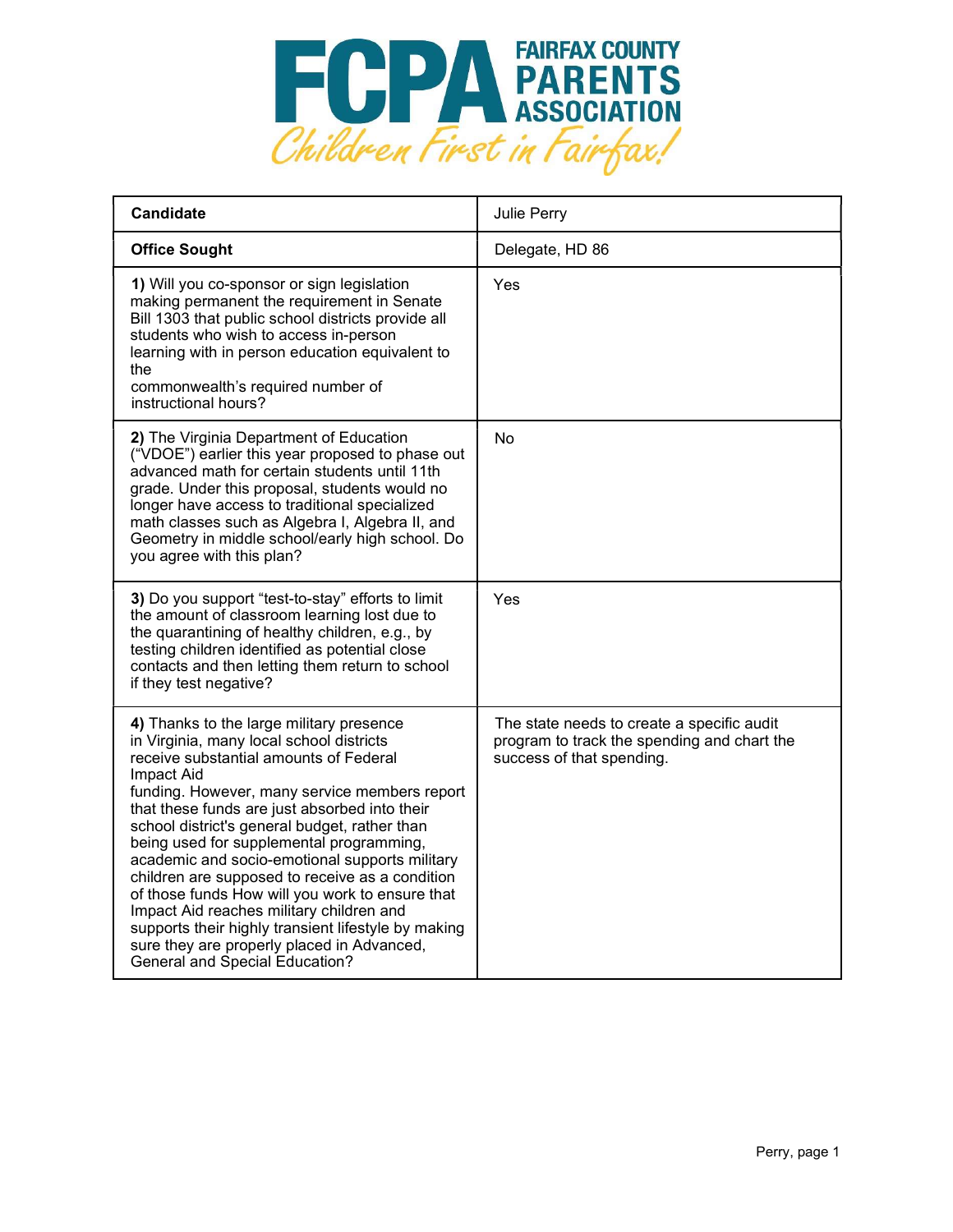

| <b>Candidate</b>                                                                                                                                                                                                                                                                                                                                                                                                                                                                                                                                                                                                                                                                              | Julie Perry                                                                                                            |
|-----------------------------------------------------------------------------------------------------------------------------------------------------------------------------------------------------------------------------------------------------------------------------------------------------------------------------------------------------------------------------------------------------------------------------------------------------------------------------------------------------------------------------------------------------------------------------------------------------------------------------------------------------------------------------------------------|------------------------------------------------------------------------------------------------------------------------|
| <b>Office Sought</b>                                                                                                                                                                                                                                                                                                                                                                                                                                                                                                                                                                                                                                                                          | Delegate, HD 86                                                                                                        |
| 1) Will you co-sponsor or sign legislation<br>making permanent the requirement in Senate<br>Bill 1303 that public school districts provide all<br>students who wish to access in-person<br>learning with in person education equivalent to<br>the<br>commonwealth's required number of<br>instructional hours?                                                                                                                                                                                                                                                                                                                                                                                | Yes                                                                                                                    |
| 2) The Virginia Department of Education<br>("VDOE") earlier this year proposed to phase out<br>advanced math for certain students until 11th<br>grade. Under this proposal, students would no<br>longer have access to traditional specialized<br>math classes such as Algebra I, Algebra II, and<br>Geometry in middle school/early high school. Do<br>you agree with this plan?                                                                                                                                                                                                                                                                                                             | No                                                                                                                     |
| 3) Do you support "test-to-stay" efforts to limit<br>the amount of classroom learning lost due to<br>the quarantining of healthy children, e.g., by<br>testing children identified as potential close<br>contacts and then letting them return to school<br>if they test negative?                                                                                                                                                                                                                                                                                                                                                                                                            | Yes                                                                                                                    |
| 4) Thanks to the large military presence<br>in Virginia, many local school districts<br>receive substantial amounts of Federal<br>Impact Aid<br>funding. However, many service members report<br>that these funds are just absorbed into their<br>school district's general budget, rather than<br>being used for supplemental programming,<br>academic and socio-emotional supports military<br>children are supposed to receive as a condition<br>of those funds How will you work to ensure that<br>Impact Aid reaches military children and<br>supports their highly transient lifestyle by making<br>sure they are properly placed in Advanced,<br><b>General and Special Education?</b> | The state needs to create a specific audit<br>program to track the spending and chart the<br>success of that spending. |